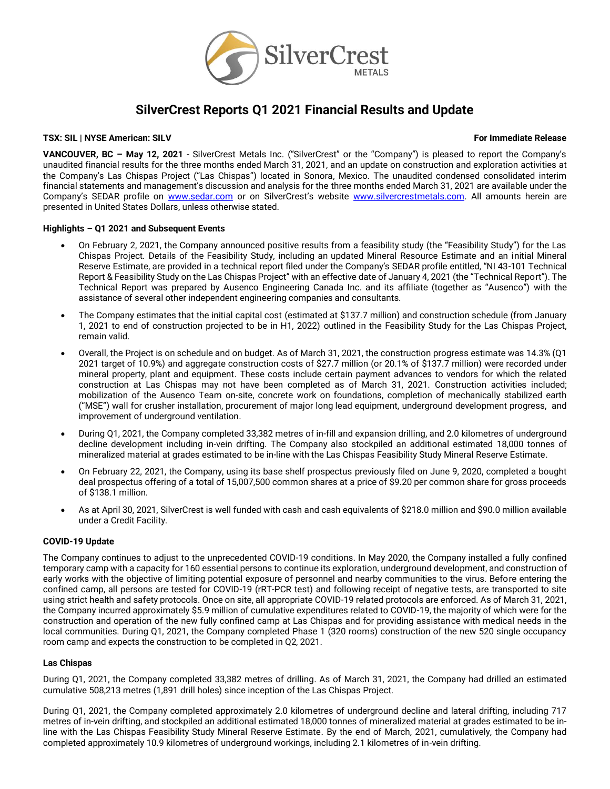

# **SilverCrest Reports Q1 2021 Financial Results and Update**

# **TSX:** SIL | NYSE American: SILV For Immediate Release

**VANCOUVER, BC – May 12, 2021** - SilverCrest Metals Inc. ("SilverCrest" or the "Company") is pleased to report the Company's unaudited financial results for the three months ended March 31, 2021, and an update on construction and exploration activities at the Company's Las Chispas Project ("Las Chispas") located in Sonora, Mexico. The unaudited condensed consolidated interim financial statements and management's discussion and analysis for the three months ended March 31, 2021 are available under the Company's SEDAR profile on [www.sedar.com](http://www.sedar.com/) or on SilverCrest's website [www.silvercrestmetals.com.](http://www.silvercrestmetals.com/) All amounts herein are presented in United States Dollars, unless otherwise stated.

## **Highlights – Q1 2021 and Subsequent Events**

- On February 2, 2021, the Company announced positive results from a feasibility study (the "Feasibility Study") for the Las Chispas Project. Details of the Feasibility Study, including an updated Mineral Resource Estimate and an initial Mineral Reserve Estimate, are provided in a technical report filed under the Company's SEDAR profile entitled, "NI 43-101 Technical Report & Feasibility Study on the Las Chispas Project" with an effective date of January 4, 2021 (the "Technical Report"). The Technical Report was prepared by Ausenco Engineering Canada Inc. and its affiliate (together as "Ausenco") with the assistance of several other independent engineering companies and consultants.
- The Company estimates that the initial capital cost (estimated at \$137.7 million) and construction schedule (from January 1, 2021 to end of construction projected to be in H1, 2022) outlined in the Feasibility Study for the Las Chispas Project, remain valid.
- Overall, the Project is on schedule and on budget. As of March 31, 2021, the construction progress estimate was 14.3% (Q1 2021 target of 10.9%) and aggregate construction costs of \$27.7 million (or 20.1% of \$137.7 million) were recorded under mineral property, plant and equipment. These costs include certain payment advances to vendors for which the related construction at Las Chispas may not have been completed as of March 31, 2021. Construction activities included; mobilization of the Ausenco Team on-site, concrete work on foundations, completion of mechanically stabilized earth ("MSE") wall for crusher installation, procurement of major long lead equipment, underground development progress, and improvement of underground ventilation.
- During Q1, 2021, the Company completed 33,382 metres of in-fill and expansion drilling, and 2.0 kilometres of underground decline development including in-vein drifting. The Company also stockpiled an additional estimated 18,000 tonnes of mineralized material at grades estimated to be in-line with the Las Chispas Feasibility Study Mineral Reserve Estimate.
- On February 22, 2021, the Company, using its base shelf prospectus previously filed on June 9, 2020, completed a bought deal prospectus offering of a total of 15,007,500 common shares at a price of \$9.20 per common share for gross proceeds of \$138.1 million.
- As at April 30, 2021, SilverCrest is well funded with cash and cash equivalents of \$218.0 million and \$90.0 million available under a Credit Facility.

# **COVID-19 Update**

The Company continues to adjust to the unprecedented COVID-19 conditions. In May 2020, the Company installed a fully confined temporary camp with a capacity for 160 essential persons to continue its exploration, underground development, and construction of early works with the objective of limiting potential exposure of personnel and nearby communities to the virus. Before entering the confined camp, all persons are tested for COVID-19 (rRT-PCR test) and following receipt of negative tests, are transported to site using strict health and safety protocols. Once on site, all appropriate COVID-19 related protocols are enforced. As of March 31, 2021, the Company incurred approximately \$5.9 million of cumulative expenditures related to COVID-19, the majority of which were for the construction and operation of the new fully confined camp at Las Chispas and for providing assistance with medical needs in the local communities. During Q1, 2021, the Company completed Phase 1 (320 rooms) construction of the new 520 single occupancy room camp and expects the construction to be completed in Q2, 2021.

# **Las Chispas**

During Q1, 2021, the Company completed 33,382 metres of drilling. As of March 31, 2021, the Company had drilled an estimated cumulative 508,213 metres (1,891 drill holes) since inception of the Las Chispas Project.

During Q1, 2021, the Company completed approximately 2.0 kilometres of underground decline and lateral drifting, including 717 metres of in-vein drifting, and stockpiled an additional estimated 18,000 tonnes of mineralized material at grades estimated to be inline with the Las Chispas Feasibility Study Mineral Reserve Estimate. By the end of March, 2021, cumulatively, the Company had completed approximately 10.9 kilometres of underground workings, including 2.1 kilometres of in-vein drifting.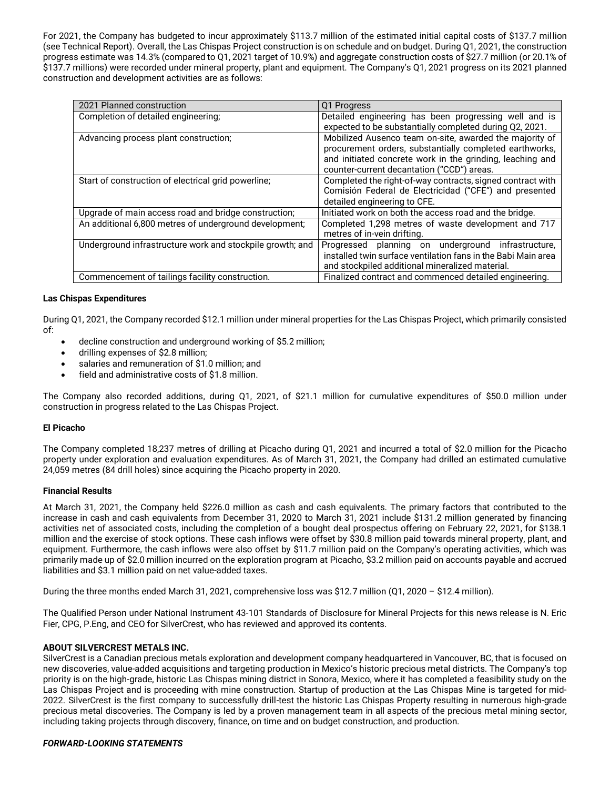For 2021, the Company has budgeted to incur approximately \$113.7 million of the estimated initial capital costs of \$137.7 million (see Technical Report). Overall, the Las Chispas Project construction is on schedule and on budget. During Q1, 2021, the construction progress estimate was 14.3% (compared to Q1, 2021 target of 10.9%) and aggregate construction costs of \$27.7 million (or 20.1% of \$137.7 millions) were recorded under mineral property, plant and equipment. The Company's Q1, 2021 progress on its 2021 planned construction and development activities are as follows:

| 2021 Planned construction                                 | Q1 Progress                                                   |
|-----------------------------------------------------------|---------------------------------------------------------------|
| Completion of detailed engineering;                       | Detailed engineering has been progressing well and is         |
|                                                           | expected to be substantially completed during Q2, 2021.       |
| Advancing process plant construction;                     | Mobilized Ausenco team on-site, awarded the majority of       |
|                                                           | procurement orders, substantially completed earthworks,       |
|                                                           | and initiated concrete work in the grinding, leaching and     |
|                                                           | counter-current decantation ("CCD") areas.                    |
| Start of construction of electrical grid powerline;       | Completed the right-of-way contracts, signed contract with    |
|                                                           | Comisión Federal de Electricidad ("CFE") and presented        |
|                                                           | detailed engineering to CFE.                                  |
| Upgrade of main access road and bridge construction;      | Initiated work on both the access road and the bridge.        |
| An additional 6,800 metres of underground development;    | Completed 1,298 metres of waste development and 717           |
|                                                           | metres of in-vein drifting.                                   |
| Underground infrastructure work and stockpile growth; and | Progressed planning on underground<br>infrastructure.         |
|                                                           | installed twin surface ventilation fans in the Babi Main area |
|                                                           | and stockpiled additional mineralized material.               |
| Commencement of tailings facility construction.           | Finalized contract and commenced detailed engineering.        |

# **Las Chispas Expenditures**

During Q1, 2021, the Company recorded \$12.1 million under mineral properties for the Las Chispas Project, which primarily consisted of:

- decline construction and underground working of \$5.2 million;
- drilling expenses of \$2.8 million;
- salaries and remuneration of \$1.0 million; and
- field and administrative costs of \$1.8 million.

The Company also recorded additions, during Q1, 2021, of \$21.1 million for cumulative expenditures of \$50.0 million under construction in progress related to the Las Chispas Project.

# **El Picacho**

The Company completed 18,237 metres of drilling at Picacho during Q1, 2021 and incurred a total of \$2.0 million for the Picacho property under exploration and evaluation expenditures. As of March 31, 2021, the Company had drilled an estimated cumulative 24,059 metres (84 drill holes) since acquiring the Picacho property in 2020.

# **Financial Results**

At March 31, 2021, the Company held \$226.0 million as cash and cash equivalents. The primary factors that contributed to the increase in cash and cash equivalents from December 31, 2020 to March 31, 2021 include \$131.2 million generated by financing activities net of associated costs, including the completion of a bought deal prospectus offering on February 22, 2021, for \$138.1 million and the exercise of stock options. These cash inflows were offset by \$30.8 million paid towards mineral property, plant, and equipment. Furthermore, the cash inflows were also offset by \$11.7 million paid on the Company's operating activities, which was primarily made up of \$2.0 million incurred on the exploration program at Picacho, \$3.2 million paid on accounts payable and accrued liabilities and \$3.1 million paid on net value-added taxes.

During the three months ended March 31, 2021, comprehensive loss was \$12.7 million (Q1, 2020 – \$12.4 million).

The Qualified Person under National Instrument 43-101 Standards of Disclosure for Mineral Projects for this news release is N. Eric Fier, CPG, P.Eng, and CEO for SilverCrest, who has reviewed and approved its contents.

# **ABOUT SILVERCREST METALS INC.**

SilverCrest is a Canadian precious metals exploration and development company headquartered in Vancouver, BC, that is focused on new discoveries, value-added acquisitions and targeting production in Mexico's historic precious metal districts. The Company's top priority is on the high-grade, historic Las Chispas mining district in Sonora, Mexico, where it has completed a feasibility study on the Las Chispas Project and is proceeding with mine construction. Startup of production at the Las Chispas Mine is targeted for mid-2022. SilverCrest is the first company to successfully drill-test the historic Las Chispas Property resulting in numerous high-grade precious metal discoveries. The Company is led by a proven management team in all aspects of the precious metal mining sector, including taking projects through discovery, finance, on time and on budget construction, and production.

# *FORWARD-LOOKING STATEMENTS*